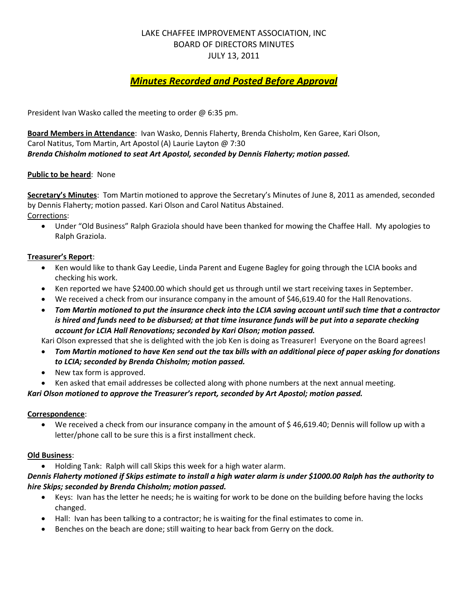### LAKE CHAFFEE IMPROVEMENT ASSOCIATION, INC BOARD OF DIRECTORS MINUTES JULY 13, 2011

# *Minutes Recorded and Posted Before Approval*

President Ivan Wasko called the meeting to order @ 6:35 pm.

**Board Members in Attendance**: Ivan Wasko, Dennis Flaherty, Brenda Chisholm, Ken Garee, Kari Olson, Carol Natitus, Tom Martin, Art Apostol (A) Laurie Layton @ 7:30 *Brenda Chisholm motioned to seat Art Apostol, seconded by Dennis Flaherty; motion passed.*

### **Public to be heard**: None

**Secretary's Minutes**: Tom Martin motioned to approve the Secretary's Minutes of June 8, 2011 as amended, seconded by Dennis Flaherty; motion passed. Kari Olson and Carol Natitus Abstained. Corrections:

 Under "Old Business" Ralph Graziola should have been thanked for mowing the Chaffee Hall. My apologies to Ralph Graziola.

### **Treasurer's Report**:

- Ken would like to thank Gay Leedie, Linda Parent and Eugene Bagley for going through the LCIA books and checking his work.
- Ken reported we have \$2400.00 which should get us through until we start receiving taxes in September.
- We received a check from our insurance company in the amount of \$46,619.40 for the Hall Renovations.
- *Tom Martin motioned to put the insurance check into the LCIA saving account until such time that a contractor is hired and funds need to be disbursed; at that time insurance funds will be put into a separate checking account for LCIA Hall Renovations; seconded by Kari Olson; motion passed.*

Kari Olson expressed that she is delighted with the job Ken is doing as Treasurer! Everyone on the Board agrees!

- *Tom Martin motioned to have Ken send out the tax bills with an additional piece of paper asking for donations to LCIA; seconded by Brenda Chisholm; motion passed.*
- New tax form is approved.
- Ken asked that email addresses be collected along with phone numbers at the next annual meeting.

### *Kari Olson motioned to approve the Treasurer's report, seconded by Art Apostol; motion passed.*

#### **Correspondence**:

 We received a check from our insurance company in the amount of \$ 46,619.40; Dennis will follow up with a letter/phone call to be sure this is a first installment check.

#### **Old Business**:

Holding Tank: Ralph will call Skips this week for a high water alarm.

### *Dennis Flaherty motioned if Skips estimate to install a high water alarm is under \$1000.00 Ralph has the authority to hire Skips; seconded by Brenda Chisholm; motion passed.*

- Keys: Ivan has the letter he needs; he is waiting for work to be done on the building before having the locks changed.
- Hall: Ivan has been talking to a contractor; he is waiting for the final estimates to come in.
- Benches on the beach are done; still waiting to hear back from Gerry on the dock.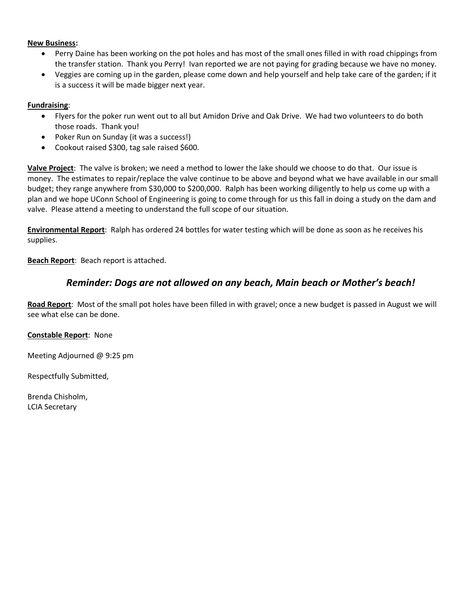#### **New Business:**

- Perry Daine has been working on the pot holes and has most of the small ones filled in with road chippings from the transfer station. Thank you Perry! Ivan reported we are not paying for grading because we have no money.
- Veggies are coming up in the garden, please come down and help yourself and help take care of the garden; if it is a success it will be made bigger next year.

#### **Fundraising**:

- Flyers for the poker run went out to all but Amidon Drive and Oak Drive. We had two volunteers to do both those roads. Thank you!
- Poker Run on Sunday (it was a success!)
- Cookout raised \$300, tag sale raised \$600.

**Valve Project**: The valve is broken; we need a method to lower the lake should we choose to do that. Our issue is money. The estimates to repair/replace the valve continue to be above and beyond what we have available in our small budget; they range anywhere from \$30,000 to \$200,000. Ralph has been working diligently to help us come up with a plan and we hope UConn School of Engineering is going to come through for us this fall in doing a study on the dam and valve. Please attend a meeting to understand the full scope of our situation.

**Environmental Report**: Ralph has ordered 24 bottles for water testing which will be done as soon as he receives his supplies.

### **Beach Report**: Beach report is attached.

## *Reminder: Dogs are not allowed on any beach, Main beach or Mother's beach!*

**Road Report**: Most of the small pot holes have been filled in with gravel; once a new budget is passed in August we will see what else can be done.

#### **Constable Report**: None

Meeting Adjourned @ 9:25 pm

Respectfully Submitted,

Brenda Chisholm, LCIA Secretary